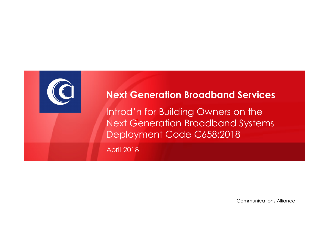

#### **Next Generation Broadband Services**

Introd'n for Building Owners on the Next Generation Broadband Systems Deployment Code C658:2018

April 2018

Communications Alliance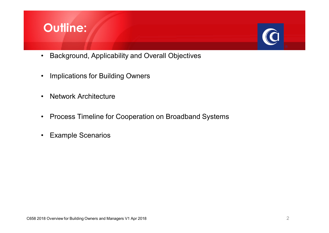# **Outline:**

- Background, Applicability and Overall Objectives
- Implications for Building Owners
- Network Architecture
- Process Timeline for Cooperation on Broadband Systems
- Example Scenarios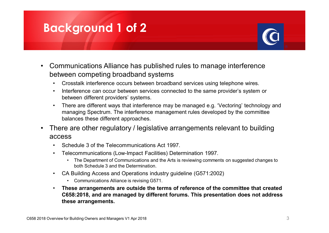## **Background 1 of 2**

- Communications Alliance has published rules to manage interference between competing broadband systems
	- Crosstalk interference occurs between broadband services using telephone wires.
	- Interference can occur between services connected to the same provider's system or between different providers' systems.
	- There are different ways that interference may be managed e.g. 'Vectoring' technology and managing Spectrum. The interference management rules developed by the committee balances these different approaches.
- There are other regulatory / legislative arrangements relevant to building access
	- Schedule 3 of the Telecommunications Act 1997.
	- Telecommunications (Low-Impact Facilities) Determination 1997.
		- The Department of Communications and the Arts is reviewing comments on suggested changes to both Schedule 3 and the Determination.
	- CA Building Access and Operations industry guideline (G571:2002)
		- Communications Alliance is revising G571.
	- **These arrangements are outside the terms of reference of the committee that created C658:2018, and are managed by different forums. This presentation does not address these arrangements.**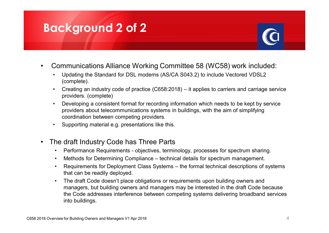## **Background 2 of 2**

- 
- Communications Alliance Working Committee 58 (WC58) work included:
	- Updating the Standard for DSL modems (AS/CA S043.2) to include Vectored VDSL2 (complete).
	- Creating an industry code of practice (C658:2018) it applies to carriers and carriage service providers. (complete)
	- Developing a consistent format for recording information which needs to be kept by service providers about telecommunications systems in buildings, with the aim of simplifying coordination between competing providers.
	- Supporting material e.g. presentations like this.
- The draft Industry Code has Three Parts
	- Performance Requirements objectives, terminology, processes for spectrum sharing.
	- Methods for Determining Compliance technical details for spectrum management.
	- Requirements for Deployment Class Systems the formal technical descriptions of systems that can be readily deployed.
	- The draft Code doesn't place obligations or requirements upon building owners and managers, but building owners and managers may be interested in the draft Code because the Code addresses interference between competing systems delivering broadband services into buildings.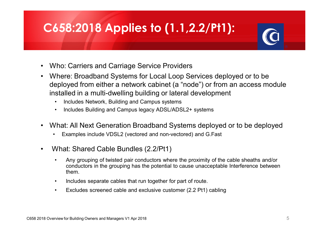# **C658:2018 Applies to (1.1,2.2/Pt1):**

- Who: Carriers and Carriage Service Providers
- Where: Broadband Systems for Local Loop Services deployed or to be deployed from either a network cabinet (a "node") or from an access module installed in a multi-dwelling building or lateral development
	- Includes Network, Building and Campus systems
	- Includes Building and Campus legacy ADSL/ADSL2+ systems
- What: All Next Generation Broadband Systems deployed or to be deployed
	- Examples include VDSL2 (vectored and non-vectored) and G.Fast
- What: Shared Cable Bundles (2.2/Pt1)
	- Any grouping of twisted pair conductors where the proximity of the cable sheaths and/or conductors in the grouping has the potential to cause unacceptable Interference between them.
	- Includes separate cables that run together for part of route.
	- Excludes screened cable and exclusive customer (2.2 Pt1) cabling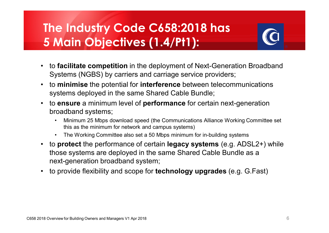# **The Industry Code C658:2018 has 5 Main Objectives (1.4/Pt1):**



- to **facilitate competition** in the deployment of Next-Generation Broadband Systems (NGBS) by carriers and carriage service providers;
- to **minimise** the potential for **interference** between telecommunications systems deployed in the same Shared Cable Bundle;
- to **ensure** a minimum level of **performance** for certain next-generation broadband systems;
	- Minimum 25 Mbps download speed (the Communications Alliance Working Committee set this as the minimum for network and campus systems)
	- The Working Committee also set a 50 Mbps minimum for in-building systems
- to **protect** the performance of certain **legacy systems** (e.g. ADSL2+) while those systems are deployed in the same Shared Cable Bundle as a next-generation broadband system;
- to provide flexibility and scope for **technology upgrades** (e.g. G.Fast)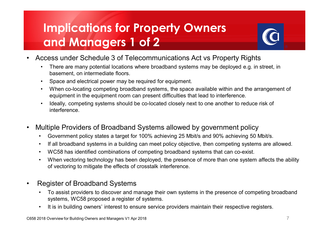# **Implications for Property Owners and Managers 1 of 2**

- Access under Schedule 3 of Telecommunications Act vs Property Rights
	- There are many potential locations where broadband systems may be deployed e.g. in street, in basement, on intermediate floors.
	- Space and electrical power may be required for equipment.
	- When co-locating competing broadband systems, the space available within and the arrangement of equipment in the equipment room can present difficulties that lead to interference.
	- Ideally, competing systems should be co-located closely next to one another to reduce risk of interference.
- Multiple Providers of Broadband Systems allowed by government policy
	- Government policy states a target for 100% achieving 25 Mbit/s and 90% achieving 50 Mbit/s.
	- If all broadband systems in a building can meet policy objective, then competing systems are allowed.
	- WC58 has identified combinations of competing broadband systems that can co-exist.
	- When vectoring technology has been deployed, the presence of more than one system affects the ability of vectoring to mitigate the effects of crosstalk interference.
- Register of Broadband Systems
	- To assist providers to discover and manage their own systems in the presence of competing broadband systems, WC58 proposed a register of systems.
	- It is in building owners' interest to ensure service providers maintain their respective registers.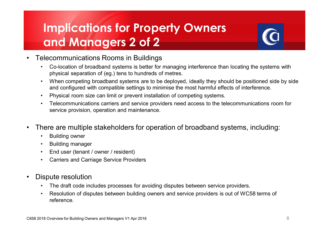# **Implications for Property Owners and Managers 2 of 2**



#### • Telecommunications Rooms in Buildings

- Co-location of broadband systems is better for managing interference than locating the systems with physical separation of (eg.) tens to hundreds of metres.
- When competing broadband systems are to be deployed, ideally they should be positioned side by side and configured with compatible settings to minimise the most harmful effects of interference.
- Physical room size can limit or prevent installation of competing systems.
- Telecommunications carriers and service providers need access to the telecommunications room for service provision, operation and maintenance.
- There are multiple stakeholders for operation of broadband systems, including:
	- Building owner
	- Building manager
	- End user (tenant / owner / resident)
	- Carriers and Carriage Service Providers
- Dispute resolution
	- The draft code includes processes for avoiding disputes between service providers.
	- Resolution of disputes between building owners and service providers is out of WC58 terms of reference.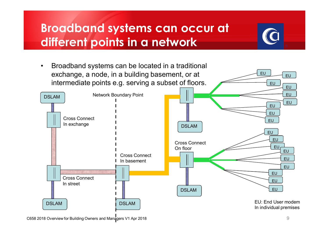# **Broadband systems can occur at different points in a network**



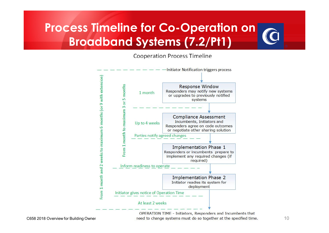# **Process Timeline for Co-Operation on Broadband Systems (7.2/Pt1)**

#### **Cooperation Process Timeline**



OPERATION TIME - Initiators, Responders and Incumbents that C658 2018 Overview for Building Owner and Manage to change systems must do so together at the specified time.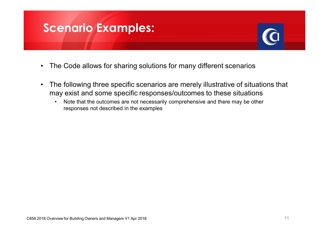### **Scenario Examples:**

- The Code allows for sharing solutions for many different scenarios
- The following three specific scenarios are merely illustrative of situations that may exist and some specific responses/outcomes to these situations
	- Note that the outcomes are not necessarily comprehensive and there may be other responses not described in the examples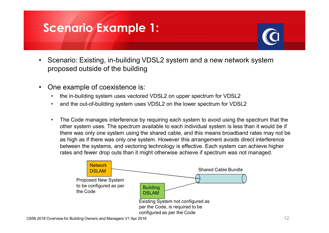## **Scenario Example 1:**

- Scenario: Existing, in-building VDSL2 system and a new network system proposed outside of the building
- One example of coexistence is:
	- the in-building system uses vectored VDSL2 on upper spectrum for VDSL2
	- and the out-of-building system uses VDSL2 on the lower spectrum for VDSL2
	- The Code manages interference by requiring each system to avoid using the spectrum that the other system uses. The spectrum available to each individual system is less than it would be if there was only one system using the shared cable, and this means broadband rates may not be as high as if there was only one system. However this arrangement avoids direct interference between the systems, and vectoring technology is effective. Each system can achieve higher rates and fewer drop outs than it might otherwise achieve if spectrum was not managed.

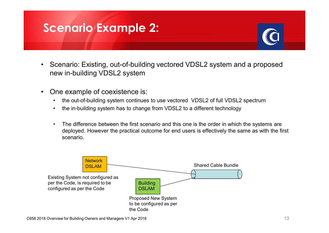## **Scenario Example 2:**

- Scenario: Existing, out-of-building vectored VDSL2 system and a proposed new in-building VDSL2 system
- One example of coexistence is:
	- the out-of-building system continues to use vectored VDSL2 of full VDSL2 spectrum
	- the in-building system has to change from VDSL2 to a different technology
	- The difference between the first scenario and this one is the order in which the systems are deployed. However the practical outcome for end users is effectively the same as with the first scenario.

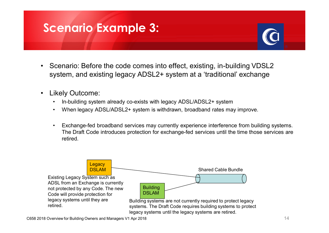## **Scenario Example 3:**

- Scenario: Before the code comes into effect, existing, in-building VDSL2 system, and existing legacy ADSL2+ system at a 'traditional' exchange
- Likely Outcome:
	- In-building system already co-exists with legacy ADSL/ADSL2+ system
	- When legacy ADSL/ADSL2+ system is withdrawn, broadband rates may improve.
	- Exchange-fed broadband services may currently experience interference from building systems. The Draft Code introduces protection for exchange-fed services until the time those services are retired.